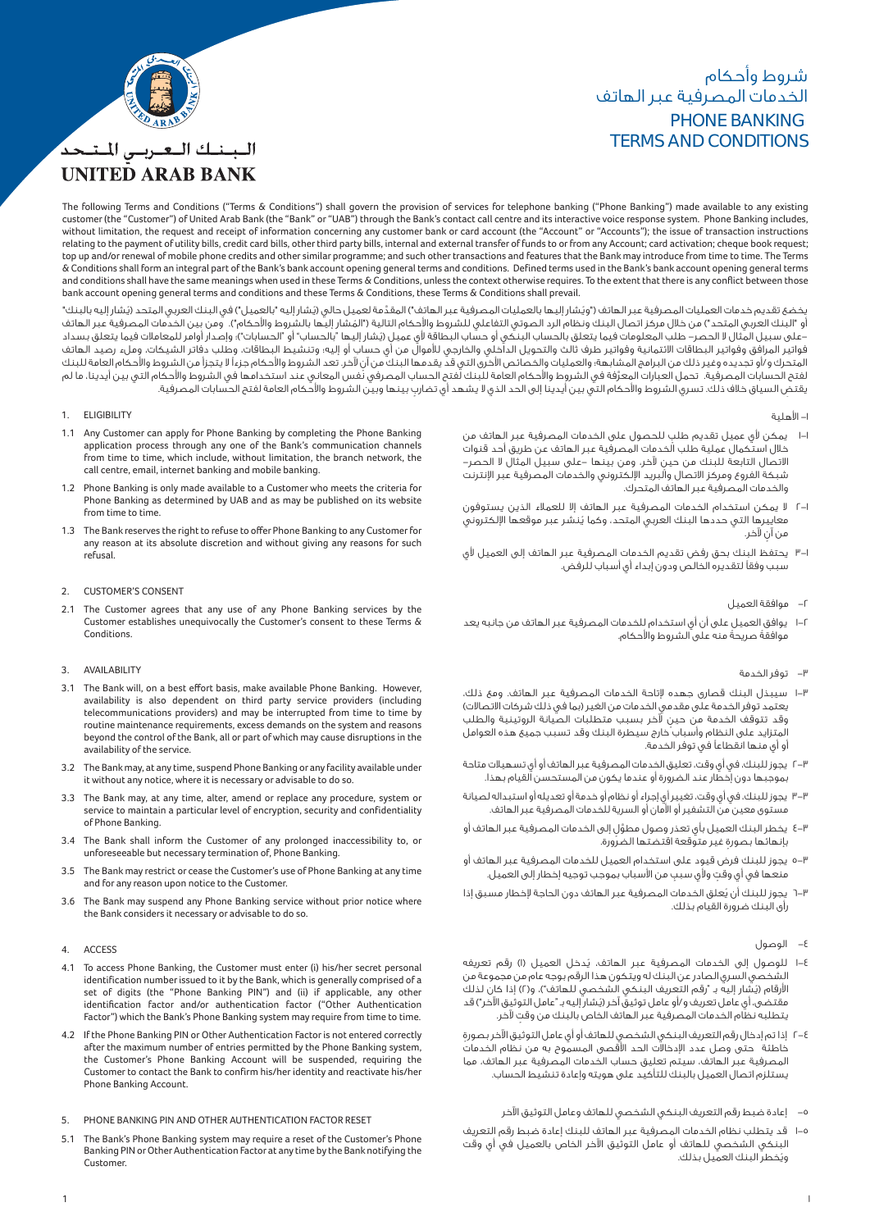# PHONE BANKING TERMS AND CONDITIONS شروط وأحكام الخدمات المصرفية عبر الهاتف



# البينيك التعتريس المتنحد **UNITED ARAB BANK**

The following Terms and Conditions ("Terms & Conditions") shall govern the provision of services for telephone banking ("Phone Banking") made available to any existing customer (the "Customer") of United Arab Bank (the "Bank" or "UAB") through the Bank's contact call centre and its interactive voice response system. Phone Banking includes, without limitation, the request and receipt of information concerning any customer bank or card account (the "Account" or "Accounts"); the issue of transaction instructions relating to the payment of utility bills, credit card bills, other third party bills, internal and external transfer of funds to or from any Account; card activation; cheque book request; top up and/or renewal of mobile phone credits and other similar programme; and such other transactions and features that the Bank may introduce from time to time. The Terms & Conditions shall form an integral part of the Bank's bank account opening general terms and conditions. Def ined terms used in the Bank's bank account opening general terms and conditions shall have the same meanings when used in these Terms & Conditions, unless the context otherwise requires. To the extent that there is any conflict between those bank account opening general terms and conditions and these Terms & Conditions, these Terms & Conditions shall prevail.

ُ يخضع تقديم خدمات العمليات المصرفية عبر الهاتف ("وي َّ شار إليها بالعمليات المصرفية عبر الهاتف") المقد ُ مة لعميل حالي (ي ُ شار إليه "بالعميل") في البنك العربي المتحد (يشار إليه بالبنك" أو "البنك العربي المتحد") من خلال مركز اتصال البنك ونظام الرد الصوتي التفاعلي للشروط والأحكام التالية ("المشار إليها بالشروط والأحكام"). ومن بين الخدمات المصرفية عبر الهاتف ُ -على سبيل المثال لا الحصر- طلب المعلومات فيما يتعلق بالحساب البنكي أو حساب البطاقة ي عميل (يشار إليها "بالحساب" أو "الحسابات")؛ وإصدار أوامر للمعاملات فيما يتعلق بسداد فواتير المرافق وفواتير البطاقات الائتمانية وفواتير طرف ثالث والتحويل الحارجي للموال من اي حساب او إليه؛ وتنشيط البطاقات، وطلب دفاتر الشيكات، وملء رصيد الهاتف المتحرك و/أو تجديده وغير ذلك من البرامج المشابهة؛ والعمليات والخصائص الأخرى التي قد يقدمها البنك من آن لآخر. تعد الشروط والأحكام جزءاً لا يتجزأ من الشروط والأحكام العامة للبنك لفتح الحسابات المصرفية. تحمل العبارات المعرَّفة في الشروط والأحكام العامة للبنك لّفتح الحساب المصرفي نُفس المعاني عند استخدامها في الشروط والأحكام التي بين أيدينا، ما لم يقتض السياق خلاف ذلك. تسري الشروط والأحكام التي بين أيدينا إلى الحد الذي لا يشهد أي تضارب بينها وبين الشروط والأحكام العامة لفتح الحسابات المصرفية.

## 1. ELIGIBILITY

- 1.1 Any Customer can apply for Phone Banking by completing the Phone Banking application process through any one of the Bank's communication channels from time to time, which include, without limitation, the branch network, the call centre, email, internet banking and mobile banking.
- 1.2 Phone Banking is only made available to a Customer who meets the criteria for Phone Banking as determined by UAB and as may be published on its website from time to time.
- 1.3 The Bank reserves the right to refuse to offer Phone Banking to any Customer for any reason at its absolute discretion and without giving any reasons for such refusal.

## 2. CUSTOMER'S CONSENT

2.1 The Customer agrees that any use of any Phone Banking services by the Customer establishes unequivocally the Customer's consent to these Terms & Conditions.

# 3. AVAILABILITY

- 3.1 The Bank will, on a best effort basis, make available Phone Banking. However, availability is also dependent on third party service providers (including telecommunications providers) and may be interrupted from time to time by routine maintenance requirements, excess demands on the system and reasons beyond the control of the Bank, all or part of which may cause disruptions in the availability of the service.
- 3.2 The Bank may, at any time, suspend Phone Banking or any facility available under it without any notice, where it is necessary or advisable to do so.
- 3.3 The Bank may, at any time, alter, amend or replace any procedure, system or service to maintain a particular level of encryption, security and confidentiality of Phone Banking.
- 3.4 The Bank shall inform the Customer of any prolonged inaccessibility to, or unforeseeable but necessary termination of, Phone Banking.
- 3.5 The Bank may restrict or cease the Customer's use of Phone Banking at any time and for any reason upon notice to the Customer.
- 3.6 The Bank may suspend any Phone Banking service without prior notice where the Bank considers it necessary or advisable to do so.

## 4. ACCESS

- 4.1 To access Phone Banking, the Customer must enter (i) his/her secret personal identification number issued to it by the Bank, which is generally comprised of a set of digits (the "Phone Banking PIN") and (ii) if applicable, any other identification factor and/or authentication factor ("Other Authentication Factor") which the Bank's Phone Banking system may require from time to time.
- 4.2 If the Phone Banking PIN or Other Authentication Factor is not entered correctly after the maximum number of entries permitted by the Phone Banking system, the Customer's Phone Banking Account will be suspended, requiring the Customer to contact the Bank to confirm his/her identity and reactivate his/her Phone Banking Account.
- 5. PHONE BANKING PIN AND OTHER AUTHENTICATION FACTOR RESET
- 5.1 The Bank's Phone Banking system may require a reset of the Customer's Phone Banking PIN or Other Authentication Factor at any time by the Bank notifying the Customer.
- -١ اهلية
- ا–ا يمكن لأي عميل تقديم طلب للحصول على الخدمات المصرفية عبر الهاتف من خلال استكمال عملية طلب الخدمات المصرفية عبر الهاتف عن طريق أحد قنوات ٍ الاتصال التابعة للبنك من حين خر، ومن بينها -على سبيل المثال لا الحصر- شبكة الفروع ومركز الاتصال والبريد الكتروني والخدمات المصرفية عبر انترنت والخدمات المصرفية عبر الهاتف المتحرك.
- ٢-١ لا يمكن استخدام الخدمات المصرفية عبر الهاتف إلا للعملاء الذين يستوفون ُ معاييرها التي حددها البنك العربي المتحد، وكما ينشر عبر موقعها الكتروني من آن لآخر.
- ٣-١ يحتفظ البنك بحق رفض تقديم الخدمات المصرفية عبر الهاتف إلى العميل ي سبب وفقاً لتقديره الخالص ودون إبداء أي أسباب للرفض.
	- -٢ موافقة العميل
- يوافق العميل على أن أي استخدام للخدمات المصرفية عبر الهاتف من جانبه يعد موافقةً صريحةً منه على الشروط والأحكام.

## -٣ توفر الخدمة

- ١-٣ سيبذل البنك قصارى جهده تاحة الخدمات المصرفية عبر الهاتف. ومع ذلك، يعتمد توفر الخدمة على مقدمي الخدمات من الغير (بما في ذلك شركات الاتصالات) وقد تتوقف الخدمة من حين لآخر بسبب متطلبات الصيانة الروتينية والطلب المتزايد على النظام وأسباب خارج سيطرة البنك وقد تسبب جميع هذه العوامل أو أي منها انقطاعاً في توفر الخدمة.
- ٢-٣ يجوز للبنك، في أي وقت، تعليق الخدمات المصرفية عبر الهاتف أو أي تسهيلات متاحة بموجبها دون إخطار عند الضرورة أو عندما يكون من المستحسن القيام بهذا.
- ٣-٣ يجوز للبنك، في أي وقت، تغيير أي إجراء أو نظام أو خدمة أو تعديله أو استبداله لصيانة مستوى معين من التشفير أو امان أو السرية للخدمات المصرفية عبر الهاتف.
- ٤-٣ َّ يخطر البنك العميل بأي تعذر وصول مطو ٍل إلى الخدمات المصرفية عبر الهاتف أو ٍ بإنهائها بصورة غير متوقعة اقتضتها الضرورة.
- ٥-٣ يجوز للبنك فرض قيود على استخدام العميل للخدمات المصرفية عبر الهاتف أو منعها في أي وقت ولأي سبب من الأسباب بموجب توجيه إخطار إلى العميل.
- ٦-٣ ُ يجوز للبنك أن يعلق الخدمات المصرفية عبر الهاتف دون الحاجة خطار مسبق إذا رأى البنك ضرورة القيام بذلك.
	- -٤ الوصول
- ١-٤ ُ للوصول إلى الخدمات المصرفية عبر الهاتف، يدخل العميل (١) رقم تعريفه الشخصي السري الصادر عن البنك له ويتكون هذا الرقم بوجه عام من مجموعة من ُ ارقام (يشار إليه بـ "رقم التعريف البنكي الشخصي للهاتف")، و(٢) إذا كان لذلك ُ مقتضى، أي عامل تعريف و/أو عامل توثيق آخر (يشار إليه بـ "عامل التوثيق اخر") قد ٍ يتطلبه نظام الخدمات المصرفية عبر الهاتف الخاص بالبنك من وقت خر.
- ٤–٢ إذا تم إدخال رقم التعريف البنكي الشخصي للهاتف أو أي عامل التوثيق الآخر بصورة خاطئة حتى وصل عدد الإدخالات الحد الأقصى المسموح به من نظام الخدمات المصرفية عبر الهاتف، سيتم تعليق حساب الخدمات المصرفية عبر الهاتف، مما يستلزم اتصال العميل بالبنك للتأكيد على هويته وإعادة تنشيط الحساب.
	- ٥– إعادة ضبط رقم التعريف البنكى الشخصى للهاتف وعامل التوثيق الآخر
- ١-٥ قد يتطلب نظام الخدمات المصرفية عبر الهاتف للبنك إعادة ضبط رقم التعريف البنكي الشخصي للهاتف أو عامل التوثيق الآخر الخاص بالعميل في أي وقت .<br>ويُخطر البنك العميل بذلك.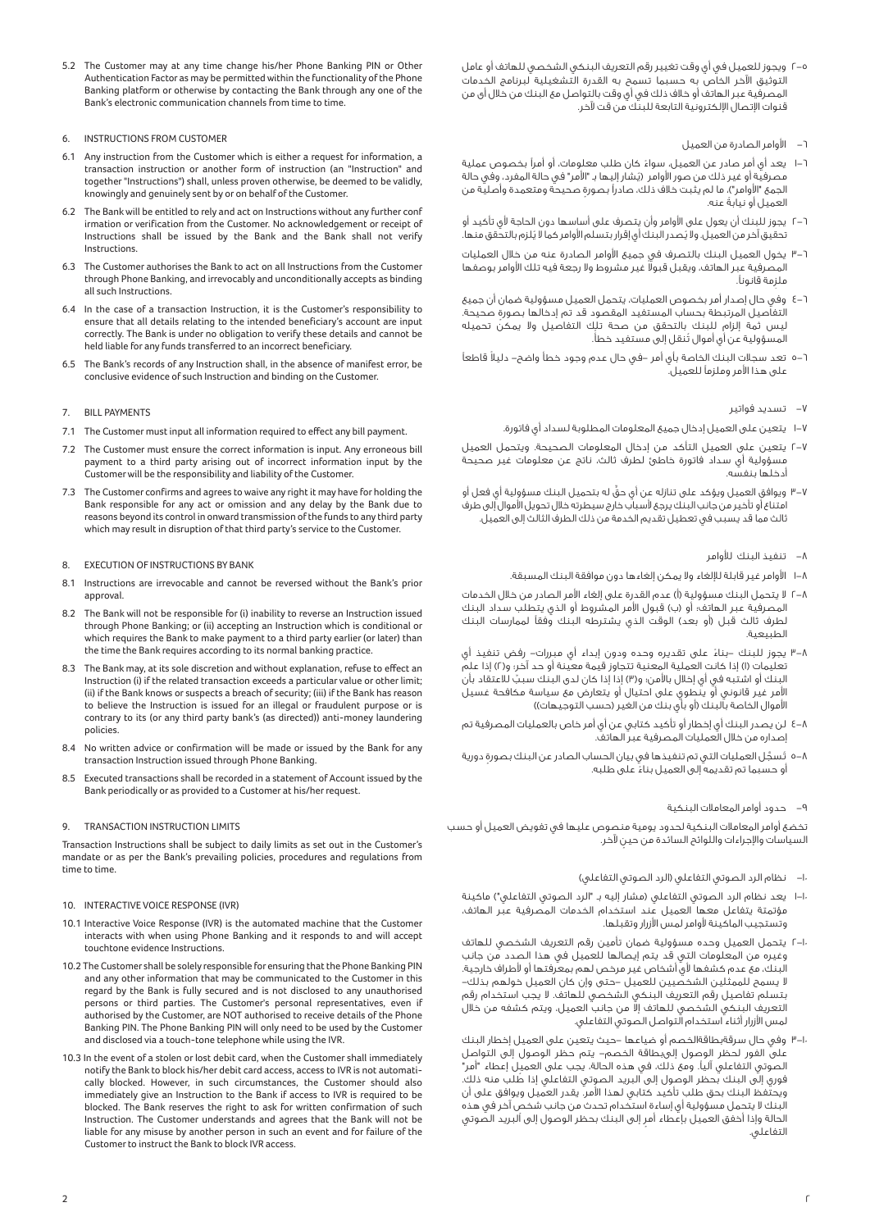5.2 The Customer may at any time change his/her Phone Banking PIN or Other Authentication Factor as may be permitted within the functionality of the Phone Banking platform or otherwise by contacting the Bank through any one of the Bank's electronic communication channels from time to time.

## 6. INSTRUCTIONS FROM CUSTOMER

- 6.1 Any instruction from the Customer which is either a request for information, a transaction instruction or another form of instruction (an "Instruction" and together "Instructions") shall, unless proven otherwise, be deemed to be validly, knowingly and genuinely sent by or on behalf of the Customer.
- The Bank will be entitled to rely and act on Instructions without any further conf irmation or verification from the Customer. No acknowledgement or receipt of Instructions shall be issued by the Bank and the Bank shall not verify **Instructions**
- 6.3 The Customer authorises the Bank to act on all Instructions from the Customer through Phone Banking, and irrevocably and unconditionally accepts as binding all such Instructions.
- 6.4 In the case of a transaction Instruction, it is the Customer's responsibility to ensure that all details relating to the intended beneficiary's account are input correctly. The Bank is under no obligation to verify these details and cannot be held liable for any funds transferred to an incorrect beneficiary.
- 6.5 The Bank's records of any Instruction shall, in the absence of manifest error, be conclusive evidence of such Instruction and binding on the Customer.

## 7. BILL PAYMENTS

- 7.1 The Customer must input all information required to effect any bill payment.
- 7.2 The Customer must ensure the correct information is input. Any erroneous bill payment to a third party arising out of incorrect information input by the Customer will be the responsibility and liability of the Customer.
- 7.3 The Customer confirms and agrees to waive any right it may have for holding the Bank responsible for any act or omission and any delay by the Bank due to reasons beyond its control in onward transmission of the funds to any third party which may result in disruption of that third party's service to the Customer.

#### 8. EXECUTION OF INSTRUCTIONS BY BANK

- 8.1 Instructions are irrevocable and cannot be reversed without the Bank's prior approval.
- 8.2 The Bank will not be responsible for (i) inability to reverse an Instruction issued through Phone Banking; or (ii) accepting an Instruction which is conditional or which requires the Bank to make payment to a third party earlier (or later) than the time the Bank requires according to its normal banking practice.
- 8.3 The Bank may, at its sole discretion and without explanation, refuse to effect an Instruction (i) if the related transaction exceeds a particular value or other limit; (ii) if the Bank knows or suspects a breach of security; (iii) if the Bank has reason to believe the Instruction is issued for an illegal or fraudulent purpose or is contrary to its (or any third party bank's (as directed)) anti-money laundering policies.
- 8.4 No written advice or confirmation will be made or issued by the Bank for any transaction Instruction issued through Phone Banking.
- 8.5 Executed transactions shall be recorded in a statement of Account issued by the Bank periodically or as provided to a Customer at his/her request.

## 9. TRANSACTION INSTRUCTION LIMITS

Transaction Instructions shall be subject to daily limits as set out in the Customer's mandate or as per the Bank's prevailing policies, procedures and regulations from time to time.

### 10. INTERACTIVE VOICE RESPONSE (IVR)

- 10.1 Interactive Voice Response (IVR) is the automated machine that the Customer interacts with when using Phone Banking and it responds to and will accept touchtone evidence Instructions.
- 10.2 The Customer shall be solely responsible for ensuring that the Phone Banking PIN and any other information that may be communicated to the Customer in this regard by the Bank is fully secured and is not disclosed to any unauthorised persons or third parties. The Customer's personal representatives, even if authorised by the Customer, are NOT authorised to receive details of the Phone Banking PIN. The Phone Banking PIN will only need to be used by the Customer and disclosed via a touch-tone telephone while using the IVR.
- 10.3 In the event of a stolen or lost debit card, when the Customer shall immediately notify the Bank to block his/her debit card access, access to IVR is not automatically blocked. However, in such circumstances, the Customer should also immediately give an Instruction to the Bank if access to IVR is required to be blocked. The Bank reserves the right to ask for written confirmation of such Instruction. The Customer understands and agrees that the Bank will not be liable for any misuse by another person in such an event and for failure of the Customer to instruct the Bank to block IVR access.
- ٢-٥ ويجوز للعميل في أي وقت تغيير رقم التعريف البنكي الشخصي للهاتف أو عامل التوثيق الآخر الخاص به حسبما تسمح به القدرة التشغيلية لبرنامج الخدمات المصرفية عبر الهاتف أو خلاف ذلك في أي وقت بالتواصل مع البنك من خلال أى من .<br>قنوات الإتصال الإلكترونية التابعة للبنك من قت لآخر.
	- -٦ اوامر الصادرة من العميل
- ١-٦ ً يعد أي أمر صادر عن العميل، سواء كان طلب معلومات، أو أمرØ بخصوص عملية .<br>مصرفية أو غير ذلك من صور الأوامر (يُشار إليها بـ "الأمر" في حالة المفرد، وفي حالة الجمع "الأوامر")، ما لم يثبت خلاف ذلك، صادراً بصورة صحيحة ومتعمدة وأصلية من ً العميل أو نيابة عنه.
- ٦-٢ يجوز للبنك أن يعول على الأوامر وأن يتصرف على أساسها دون الحاجة لأي تأكيد أو تحقيق آخر من العميل. ولا يُصدر البنك أي إقرار بتسلم الأوامر كما لا يُلزم بالتحقق منها.
- ٣-٦ يخول العميل البنك بالتصرف في جميع اوامر الصادرة عنه من خلال العمليات لمصرفية عبر الهاتف، ويقبل قبولا غير مشروط ولا رجعة فيه تلك الأوامر بوصفها ملزمة قانوناً.
- ٤-٦ وفي حال إصدار أمر بخصوص العمليات، يتحمل العميل مسؤولية ضمان أن جميع ٍ التفاصيل المرتبطة بحساب المستفيد المقصود قد تم إدخالها بصورة صحيحة. ليس ثمة إلزام للبنك بالتحقق من صحة تلك التفاصيل ولا يمكن تحميله .ً ُ المسؤولية عن أي أموال تنقل إلى مستفيد خطأ
- ٥-٦ ً تعد سجلات البنك الخاصة بأي أمر -في حال عدم وجود خطأ واضح- دليلا قاطع± على هذا الأمر وملزماً للعميل.

# -٧ تسديد فواتير

- ١-٧ يتعين على العميل إدخال جميع المعلومات المطلوبة لسداد أي فاتورة.
- ٢-٧ يتعين على العميل التأكد من إدخال المعلومات الصحيحة. ويتحمل العميل مسؤولية أي سداد فاتورة خاطئ لطرف ثالث، ناتج عن معلومات غير صحيحة أدخلها بنفسه.
- ٣-٧ ٍّ ويوافق العميل ويؤكد على تنازله عن أي حق له بتحميل البنك مسؤولية أي فعل أو ر - .<br>امتناع أو تأخير من جانب البنك يرجع لأسباب خارج سيطرته خلال تحويل الأموال إلى طرف ثالث مما قد يسبب في تعطيل تقديم الخدمة من ذلك الطرف الثالث إلى العميل.

## ٨– تنفيذ البنك للأوامر

- ١–١ الأوامر غير قابلة للإلغاء ولا يمكن إلغاءها دون موافقة البنك المسبقة.
- ٢-٨ لا يتحمل البنك مسؤولية (أ) عدم القدرة على إلغاء امر الصادر من خلال الخدمات المصرفية عبر الهاتف؛ أو (ب) قبول امر المشروط أو الذي يتطلب سداد البنك لطرف ثالث قبل (أو بعد) الوقت الذي يشترطه البنك وفقاً لممارسات البنك الطبيعية.
- ٣-٨ ً يجوز للبنك -بناء على تقديره وحده ودون إبداء أي مبررات- رفض تنفيذ أي تعليمات (١) إذا كانت العملية المعنية تتجاوز قيمة معينة أو حد آخر؛ و(٢) إذا علم البنك أو اشتبه في أي إخلال بالأمن؛ و(٣) إذا إذا كان لدى البنك سببٌ للاعتقاد بأن امر غير قانوني أو ينطوي على احتيال أو يتعارض مع سياسة مكافحة غسيل اموال الخاصة بالبنك (أو بأي بنك من الغير (حسب التوجيهات))
- ٤-٨ لن يصدر البنك أي إخطار أو تأكيد كتابي عن أي أمر خاص بالعمليات المصرفية تم إصداره من خلال العمليات المصرفية عبر الهاتف.
- ٨–٥ تُسجَّل العمليات التي تم تنفيذها في بيان الحساب الصادر عن البنك بصورة دورية ً أو حسبما تم تقديمه إلى العميل بناء على طلبه.

# -٩ حدود أوامر المعاملات البنكية

تخضع أوامر المعاملات البنكية لحدود يومية منصوص عليها في تفويض العميل أو حسب ٍ السياسات واجراءات واللوائح السائدة من حين خر.

- -١٠ نظام الرد الصوتي التفاعلي (الرد الصوتي التفاعلي)
- ١-١٠ يعد نظام الرد الصوتي التفاعلي (مشار إليه بـ "الرد الصوتي التفاعلي") ماكينة مؤتمتة يتفاعل معها العميل عند استخدام الخدمات المصرفية عبر الهاتف، وتستجيب الماكينة وامر لمس ازرار وتقبلها.
- ٢-١٠ يتحمل العميل وحده مسؤولية ضمان تأمين رقم التعريف الشخصي للهاتف وغيره من المعلومات التي قد يتم إيصالها للعميل في هذا الصدد من جانب ر .<br>البنك، مع عدم كشفها لأي أشخاص غير مرخص لهم بمعرفتها أو لأطراف خارجية. لا يسمح للممثلين الشخصيين للعميل -حتى وإن كان العميل خولهم بذلك- بتسلم تفاصيل رقم التعريف البنكي الشخصي للهاتف. لا يجب استخدام رقم التعريف البنكي الشخصي للهاتف إلا من جانب العميل، ويتم كشفه من خلال لمس ازرار أثناء استخدام التواصل الصوتي التفاعلي.
- ٣-١٠ وفي حال سرقةبطاقةالخصم أو ضياعها -حيث يتعين على العميل إخطار البنك على الفور لحظر الوصول إلىبطاقة الخصم- يتم حظر الوصول إلى التواصل الصوتي التفاعلي اليا. ومع ذلك، في هذه الحالة، يجب على العميل إعطاء "أمر" ُ فوري إلى البنك بحظر الوصول إلى البريد الصوتي التفاعلي إذا طلب منه ذلك. ويحتفظ البنك بحق طلب تأكيد كتابي لهذا امر. يقدر العميل ويوافق على أن ٍ البنك لا يتحمل مسؤولية أي إساءة استخدام تحدث من جانب شخص آخر في هذه ٍ الحالة وإذا أخفق العميل بإعطاء أمر إلى البنك بحظر الوصول إلى البريد الصوتي التفاعلي.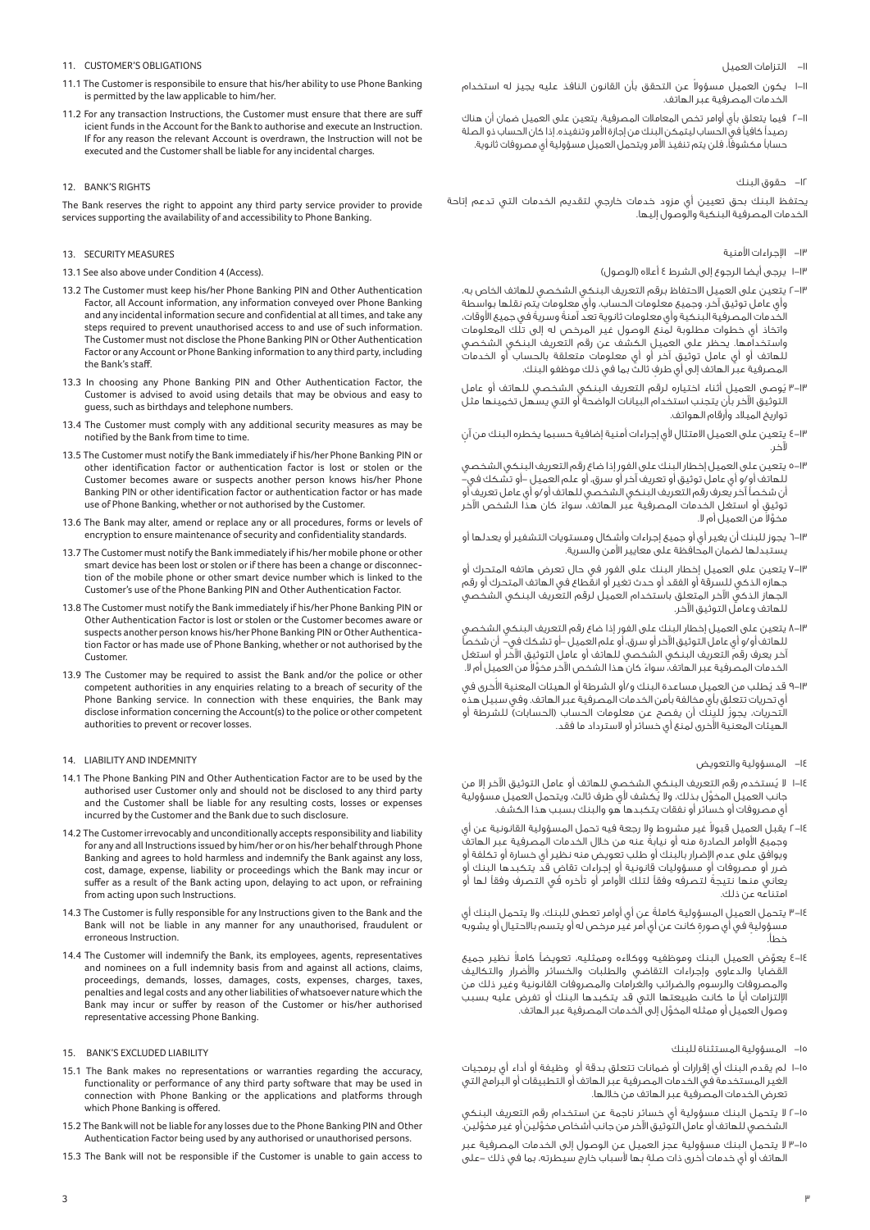- -١١ التزامات العميل
- ا–ا يكون العميل مسؤولا عن التحقق بأن القانون النافذ عليه يجيز له استخدام الخدمات المصرفية عبر الهاتف.
- ٢-١١ فيما يتعلق بأي أوامر تخص المعاملات المصرفية، يتعين على العميل ضمان أن هناك رصيداً كافياً في الحساب ليتمكن البنك من إجازة الأمر وتنفيذه. إذا كان الحساب ذو الصلة حساباً مكشوفاً، فلن يتم تنفيذ الأمر ويتحمل العميل مسؤولية أي مصروفات ثانوية.

## -١٢ حقوق البنك

يحتفظ البنك بحق تعيين أي مزود خدمات خارجي لتقديم الخدمات التي تدعم إتاحة الخدمات المصرفية البنكية والوصول إليها.

# -١٣ اجراءات امنية

- ١-١٣ يرجى أيضا الرجوع إلى الشرط ٤ أعلاه (الوصول)
- ٢-١٣ يتعين على العميل الاحتفاظ برقم التعريف البنكي الشخصي للهاتف الخاص به، وأي عامل توثيق آخر، وجميع معلومات الحساب، وأي معلومات يتم نقلها بواسطة ر .<br>الخدمات المصرفية البنكية وأي معلومات ثانوية تعد آمنةً وسريةً في جميع الأوقات، واتخاذ أي خطوات مطلوبة لمنع الوصول غير المرخص له إلى تلك المعلومات واستخدامها. يحظر على العميل الكشف عن رقم التعريف البنكي الشخصي للهاتف أو أي عامل توثيق آخر أو أي معلومات متعلقة بالحساب أو الخدمات ٍ المصرفية عبر الهاتف إلى أي طرف ثالث بما في ذلك موظفو البنك.
- ٣-١٣ ُ يوصى العميل أثناء اختياره لرقم التعريف البنكي الشخصي للهاتف أو عامل التوثيق الآخر بأن يتجنب استخدام البيانات الواضحة آو التي يسهل تخمينها مثل تواريخ الميلاد وأرقام الهواتف.
- ٤-١٣ يتعين على العميل الامتثال لأى إجراءات أمنية إضافية حسبما يخطره البنك من آن لآخر.
- ٥-١٣ يتعين على العميل إخطار البنك على الفور إذا ضاع رقم التعريف البنكي الشخصي للهاتف أو/و أي عامل توثيق أو تعريف آخر أو سرق، أو علم العميل -أو تشكك في- أن شخصاً آخر يعرف رقم التعريف البنكي الشخصي للهاتف أو/و أي عامل تعريف أو ً توثيق أو استغل الخدمات المصرفية عبر الهاتف، سواء كان هذا الشخص اخر عخوَّلا من العميل أم لا.
- ٦-١٣ يجوز للبنك أن يغير أي أو جميع إجراءات وأشكال ومستويات التشفير أو يعدلها أو يستبدلها لضمان المحافظة على معايير امن والسرية.
- ٧-١٣ يتعين على العميل إخطار البنك على الفور في حال تعرض هاتفه المتحرك أو جهازه الذكي للسرقة أو الفقد أو حدث تغير أو انقطاع في الهاتف المتحرك أو رقم .<br>الجهاز الذكي الآخر المتعلق باستخدام العميل لرقم التعريف البنكي الشخصي للهاتف وعامل التوثيق الآخر.
- ٨-١٣ يتعين على العميل إخطار البنك على الفور إذا ضاع رقم التعريف البنكي الشخصي للهاتف أو/و أي عامل التوثيق الآخر أو سرق، أو علم العميل –أو تشكك في– أن شخصاً آخر يعرف رقم التعريف البنكي الشخصي للهاتف أو عامل التوثيق الآخر أو استغل لخدمات المصرفية عبر الهاتف، سواءَ كان هذا الشخص الآخر مخوَّلا من العميل أم لا.
- ٩-١" قد يُطلب من العميل مساعدة البنك و/أو الشرطة أو الهيئات المعنية الأُخرى في أي تحريات تتعلق بأي مخالفة بأمن الخدمات المصرفية عبر الهاتف. وفي سبيل هذه ُ التحريات، يجوز للبنك أن يفصح عن معلومات الحساب (الحسابات) للشرطة أو لهيئات المعنية الأُخرى لمنع أي خسائر أو لاسترداد ما فقد.

# -١٤ المسؤولية والتعويض

- ١٤-١ لا يُستخدم رقم التعريف البنكي الشخصي للهاتف أو عامل التوثيق الآخر إلا من جانب العميل المخوَّل بذلك، ولا يُكشف لأي طرف ثالث، ويتحمِّل العميل مسؤولية أي مصروفات أو خسائر أو نفقات يتكبدها هو والبنك بسبب هذا الكشف.
- ١٤–٢ يقبل العميل قبولا غير مشروط ولا رجعة فيه تحمل المسؤولية القانونية عن أي ً وجميع اوامر الصادرة منه أو نيابة عنه من خلال الخدمات المصرفية عبر الهاتف ر .<br>ويوافق على عدم الإضرار بالبنك أو طلب تعويض منه نظير أي خسارة أو تكلفة أو ٍ ضرر أو مصروفات أو مسؤوليات قانونية أو إجراءات تقاض قد يتكبدها البنك أو يعاني منها نتيجة لتصرفه وفقاً لتلك الأوامر أو تأخره في التصرف وفقاً لها أو امتناعه عن ذلك.
- ٣-١٤ ً يتحمل العميل المسؤولية كاملة عن أي أوامر تعطى للبنك، ولا يتحمل البنك أي مسؤولية في أي صورة كانت عن أي أمر غير مرخص له أو يتسم بالاحتيال أو يشوبه خطأ.
- ٤-١٤ ِّ يعو ً ض العميل البنك وموظفيه ووكلاءه وممثليه، تعويض± كاملا نظير جميع القضايا والدعاوى وإجراءات التقاضي والطلبات والخسائر واضرار والتكاليف والمصروفات والرسوم والضرائب والغرامات والمصروفات القانونية وغير ذلك من التزامات أي± ما كانت طبيعتها التي قد يتكبدها البنك أو تفرض عليه بسبب َّ وصول العميل أو ممثله المخول إلى الخدمات المصرفية عبر الهاتف.

# -١٥ المسؤولية المستثناة للبنك

- ١-١٥ لم يقدم البنك أي إقرارات أو ضمانات تتعلق بدقة أو وظيفة أو أداء أي برمجيات الغير المستخدمة في الخدمات المصرفية عبر الهاتف أو التطبيقات أو البرامج التي تعرض الخدمات المصرفية عبر الهاتف من خلالها.
- ٢-١٥ لا يتحمل البنك مسؤولية أي خسائر ناجمة عن استخدام رقم التعريف البنكي َّ الشخصي للهاتف أو عامل التوثيق اخر من جانب أشخاص مخو َّ لين أو غير مخولين.
- ٣-١٥ لا يتحمل البنك مسؤولية عجز العميل عن الوصول إلى الخدمات المصرفية عبر ٍ الهاتف أو أي خدمات أخرى ذات صلة بها سباب خارج سيطرته، بما في ذلك -على
- 11. CUSTOMER'S OBLIGATIONS
- 11.1 The Customer is responsibile to ensure that his/her ability to use Phone Banking is permitted by the law applicable to him/her.
- 11.2 For any transaction Instructions, the Customer must ensure that there are suff icient funds in the Account for the Bank to authorise and execute an Instruction. If for any reason the relevant Account is overdrawn, the Instruction will not be executed and the Customer shall be liable for any incidental charges.

#### 12. BANK'S RIGHTS

The Bank reserves the right to appoint any third party service provider to provide services supporting the availability of and accessibility to Phone Banking.

# 13. SECURITY MEASURES

- 13.1 See also above under Condition 4 (Access).
- 13.2 The Customer must keep his/her Phone Banking PIN and Other Authentication Factor, all Account information, any information conveyed over Phone Banking and any incidental information secure and confidential at all times, and take any steps required to prevent unauthorised access to and use of such information. The Customer must not disclose the Phone Banking PIN or Other Authentication Factor or any Account or Phone Banking information to any third party, including the Bank's staff.
- 13.3 In choosing any Phone Banking PIN and Other Authentication Factor, the Customer is advised to avoid using details that may be obvious and easy to guess, such as birthdays and telephone numbers.
- 13.4 The Customer must comply with any additional security measures as may be notified by the Bank from time to time.
- 13.5 The Customer must notify the Bank immediately if his/her Phone Banking PIN or other identification factor or authentication factor is lost or stolen or the Customer becomes aware or suspects another person knows his/her Phone Banking PIN or other identification factor or authentication factor or has made use of Phone Banking, whether or not authorised by the Customer.
- 13.6 The Bank may alter, amend or replace any or all procedures, forms or levels of encryption to ensure maintenance of security and confidentiality standards.
- 13.7 The Customer must notify the Bank immediately if his/her mobile phone or other smart device has been lost or stolen or if there has been a change or disconnection of the mobile phone or other smart device number which is linked to the Customer's use of the Phone Banking PIN and Other Authentication Factor.
- 13.8 The Customer must notify the Bank immediately if his/her Phone Banking PIN or Other Authentication Factor is lost or stolen or the Customer becomes aware or suspects another person knows his/her Phone Banking PIN or Other Authentication Factor or has made use of Phone Banking, whether or not authorised by the Customer.
- 13.9 The Customer may be required to assist the Bank and/or the police or other competent authorities in any enquiries relating to a breach of security of the Phone Banking service. In connection with these enquiries, the Bank may disclose information concerning the Account(s) to the police or other competent authorities to prevent or recover losses.

## 14. LIABILITY AND INDEMNITY

- 14.1 The Phone Banking PIN and Other Authentication Factor are to be used by the authorised user Customer only and should not be disclosed to any third party and the Customer shall be liable for any resulting costs, losses or expenses incurred by the Customer and the Bank due to such disclosure.
- 14.2 The Customer irrevocably and unconditionally accepts responsibility and liability for any and all Instructions issued by him/her or on his/her behalf through Phone Banking and agrees to hold harmless and indemnify the Bank against any loss, cost, damage, expense, liability or proceedings which the Bank may incur or suffer as a result of the Bank acting upon, delaying to act upon, or refraining from acting upon such Instructions.
- 14.3 The Customer is fully responsible for any Instructions given to the Bank and the Bank will not be liable in any manner for any unauthorised, fraudulent or erroneous Instruction.
- 14.4 The Customer will indemnify the Bank, its employees, agents, representatives and nominees on a full indemnity basis from and against all actions, claims, proceedings, demands, losses, damages, costs, expenses, charges, taxes, penalties and legal costs and any other liabilities of whatsoever nature which the Bank may incur or suffer by reason of the Customer or his/her authorised representative accessing Phone Banking.

#### 15. BANK'S EXCLUDED LIABILITY

- 15.1 The Bank makes no representations or warranties regarding the accuracy, functionality or performance of any third party software that may be used in connection with Phone Banking or the applications and platforms through which Phone Banking is offered.
- 15.2 The Bank will not be liable for any losses due to the Phone Banking PIN and Other Authentication Factor being used by any authorised or unauthorised persons.
- 15.3 The Bank will not be responsible if the Customer is unable to gain access to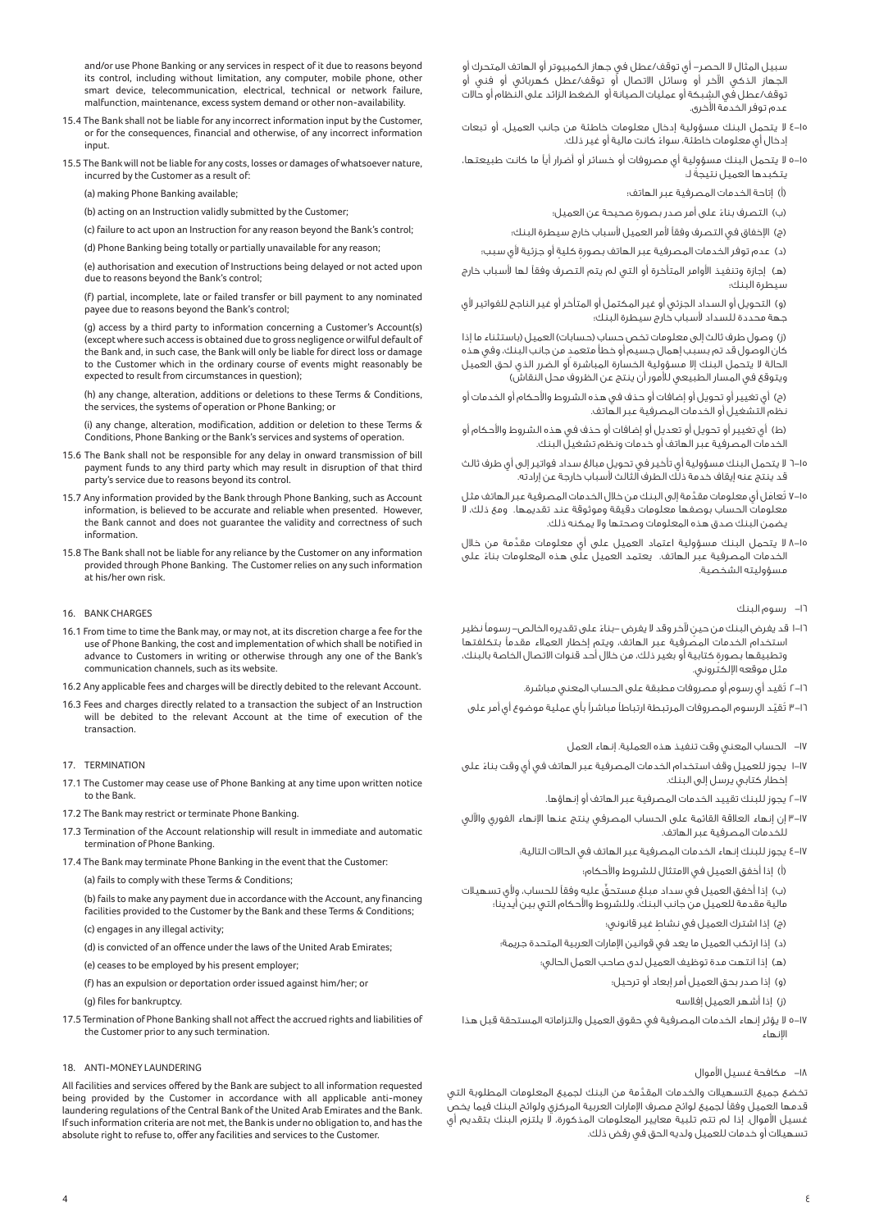and/or use Phone Banking or any services in respect of it due to reasons beyond its control, including without limitation, any computer, mobile phone, other smart device, telecommunication, electrical, technical or network failure, malfunction, maintenance, excess system demand or other non-availability.

- 15.4 The Bank shall not be liable for any incorrect information input by the Customer, or for the consequences, financial and otherwise, of any incorrect information input.
- 15.5 The Bank will not be liable for any costs, losses or damages of whatsoever nature, incurred by the Customer as a result of:

(a) making Phone Banking available;

(b) acting on an Instruction validly submitted by the Customer;

 (c) failure to act upon an Instruction for any reason beyond the Bank's control; (d) Phone Banking being totally or partially unavailable for any reason;

 (e) authorisation and execution of Instructions being delayed or not acted upon due to reasons beyond the Bank's control;

 (f) partial, incomplete, late or failed transfer or bill payment to any nominated payee due to reasons beyond the Bank's control;

 (g) access by a third party to information concerning a Customer's Account(s) (except where such access is obtained due to gross negligence or wilful default of the Bank and, in such case, the Bank will only be liable for direct loss or damage to the Customer which in the ordinary course of events might reasonably be expected to result from circumstances in question);

 (h) any change, alteration, additions or deletions to these Terms & Conditions, the services, the systems of operation or Phone Banking; or

(i) any change, alteration, modification, addition or deletion to these Terms  $\&$ Conditions, Phone Banking or the Bank's services and systems of operation.

- 15.6 The Bank shall not be responsible for any delay in onward transmission of bill payment funds to any third party which may result in disruption of that third party's service due to reasons beyond its control.
- 15.7 Any information provided by the Bank through Phone Banking, such as Account information, is believed to be accurate and reliable when presented. However, the Bank cannot and does not guarantee the validity and correctness of such information.
- 15.8 The Bank shall not be liable for any reliance by the Customer on any information provided through Phone Banking. The Customer relies on any such information at his/her own risk.

## 16. BANK CHARGES

- 16.1 From time to time the Bank may, or may not, at its discretion charge a fee for the use of Phone Banking, the cost and implementation of which shall be notified in advance to Customers in writing or otherwise through any one of the Bank's communication channels, such as its website.
- 16.2 Any applicable fees and charges will be directly debited to the relevant Account.
- 16.3 Fees and charges directly related to a transaction the subject of an Instruction will be debited to the relevant Account at the time of execution of the transaction.

#### 17. TERMINATION

- 17.1 The Customer may cease use of Phone Banking at any time upon written notice to the Bank.
- 17.2 The Bank may restrict or terminate Phone Banking.
- 17.3 Termination of the Account relationship will result in immediate and automatic termination of Phone Banking.
- 17.4 The Bank may terminate Phone Banking in the event that the Customer:
	- (a) fails to comply with these Terms & Conditions;

(b) fails to make any payment due in accordance with the Account, any financing facilities provided to the Customer by the Bank and these Terms & Conditions;

- (c) engages in any illegal activity;
- (d) is convicted of an offence under the laws of the United Arab Emirates;
- (e) ceases to be employed by his present employer;
- (f) has an expulsion or deportation order issued against him/her; or
- (g) files for bankruptcy.
- 17.5 Termination of Phone Banking shall not affect the accrued rights and liabilities of the Customer prior to any such termination.

### 18. ANTI-MONEY LAUNDERING

All facilities and services offered by the Bank are subject to all information requested being provided by the Customer in accordance with all applicable anti-money laundering regulations of the Central Bank of the United Arab Emirates and the Bank. If such information criteria are not met, the Bank is under no obligation to, and has the absolute right to refuse to, offer any facilities and services to the Customer.

سبيل المثال لا الحصر- أي توقف/عطل في جهاز الكمبيوتر أو الهاتف المتحرك أو الجهاز الذكي الآخر أو وسائل الاتصال أو توقف/عطل كهربائي أو فني أو توقف/عطل في الشبكة أو عمليات الصيانة أو الضغط الزائد على النظام أو حالات عدم توفر الخدمة الأُخرى.

- ٤-١٥ لا يتحمل البنك مسؤولية إدخال معلومات خاطئة من جانب العميل، أو تبعات ً إدخال أي معلومات خاطئة، سواء كانت مالية أو غير ذلك.
- ٥-٥ لا يتحمل البنك مسؤولية أي مصروفات أو خسائر أو أضرار أياً ما كانت طبيعتها، ً يتكبدها العميل نتيجة لـ:

(أ) إتاحة الخدمات المصرفية عبر الهاتف؛

- ً (ب) التصرف بناء ٍ على أمر صدر بصورة صحيحة عن العميل؛
- (ج) الإخفاق في التصرف وفقاً لأمر العميل لأسباب خارج سيطرة البنك؛
- (د) عدم توفر الخدمات المصرفية عبر الهاتف بصورة كلية أو جزئية لأى سبب؛
- (هـ) إجازة وتنفيذ الأوامر المتأخرة أو التي لم يتم التصرف وفقاً لها لأسباب خارج سيطرة البنك؛
- (و) التحويل أو السداد الجزئي أو غير المكتمل أو المتأخر أو غير الناجح للفواتير ي جهة محددة للسداد سباب خارج سيطرة البنك؛

 (ز) وصول طرف ثالث إلى معلومات تخص حساب (حسابات) العميل (باستثناء ما إذا ٍ كان الوصول قد تم بسبب إهمال جسيم أو خطأ متعمد من جانب البنك، وفي هذه الحالة لا يتحمل البنك إلا مسؤولية الخسارة المباشرة أو الضرر الذي لحق العميل ويتوقع في المسار الطبيعي للأمور أن ينتج عن الظروف محل النقاش)

- (ح) أي تغيير أو تحويل أو إضافات أو حذف في هذه الشروط والأحكام أو الخدمات أو نظم التشغيل أو الخدمات المصرفية عبر الهاتف.
- (ط) أي تغيير أو تحويل أو تعديل أو إضافات أو حذف في هذه الشروط واحكام أو الخدمات المصرفية عبر الهاتف أو خدمات ونظم تشغيل البنك.
- ٦-١٥ لا يتحمل البنك مسؤولية أي تأخير في تحويل مبالغ سداد فواتير إلى أي طرف ثالث قد ينتج عنه إيقاف خدمة ذلك الطرف الثالث سباب خارجة عن إرادته.
- ٧-١٥ تُعامَل أي معلومات مقدَّمة إلى البنك من خلال الخدمات المصرفية عبر الهاتف مثل معلومات الحساب بوصفها معلومات دقيقة وموثوقة عند تقديمها. ومع ذلك، لا يضمن البنك صدق هذه المعلومات وصحتها ولا يمكنه ذلك.
- ٨-١٥ َّ لا يتحمل البنك مسؤولية اعتماد العميل على أي معلومات مقدمة من خلال ً الخدمات المصرفية عبر الهاتف. يعتمد العميل على هذه المعلومات بناء على مسؤوليته الشخصية.
	- -١٦ رسوم البنك
- ١٦−١ قد يغرض البنك من حين لآخر وقد لا يفرض –بناءً على تقديره الخالص– رسوماً نظير استخدام الخدمات المصرفية عبر الهاتف، ويتم إخطار العملاء مقدماً بتكلفتها ٍ وتطبيقها بصورة كتابية أو بغير ذلك، من خلال أحد قنوات الاتصال الخاصة بالبنك، .<br>مثل موقعه الإلكتروني.
	- ٢-١٦ ُ تقيد أي رسوم أو مصروفات مطبقة على الحساب المعني مباشرة.
- ١٦–٣ تُقيّد الرسوم المصروفات المرتبطة ارتباطاً مباشراً بأي عملية موضوع أي أمر على
	- -١٧ الحساب المعني وقت تنفيذ هذه العملية. إنهاء العمل
- ١١-١ يجوز للعميل وقف استخدام الخدمات المصرفية عبر الهاتف في أي وقت بناءَ على إخطار كتابي يرسل إلى البنك.
	- ٢-١٧ يجوز للبنك تقييد الخدمات المصرفية عبر الهاتف أو إنهاؤها.
- ١٧–٣ إن إنهاء العلاقة القائمة على الحساب المصرفي ينتج عنها الإنهاء الفوري والآلي للخدمات المصرفية عبر الهاتف.
	- ٤-١٧ يجوز للبنك إنهاء الخدمات المصرفية عبر الهاتف في الحالات التالية:
		- (أ) إذا أخفق العميل في الامتثال للشروط واحكام؛

(ب) إذا أخفق العميل في سداد مبلغ مستحقٍّ عليه وفقاً للحساب، ولأي تسهيلات مالية مقدمة للعميل من جانب البنك، وللشروط والأحكام التي بين أيدينا؛ ٍ (ج) إذا اشترك العميل في نشاط غير قانوني؛

- (د) إذا ارتكب العميل ما يعد في قوانين الإمارات العربية المتحدة جريمة؛
	- - (هـ) إذا انتهت مدة توظيف العميل لدى صاحب العمل الحالي؛
			- (و) إذا صدر بحق العميل أمر إبعاد أو ترحيل؛
				- (ز) إذا أشهر العميل إفلاسه
- ٥-١٧ لا يؤثر إنهاء الخدمات المصرفية في حقوق العميل والتزاماته المستحقة قبل هذا انهاء
	- ١٨– مكافحة غسيل الأموال

َّ تخضع جميع التسهيلات والخدمات المقدمة من البنك لجميع المعلومات المطلوبة التي قدمها العميل وفقاً لجميع لوائح مصرف الإمارات العربية المركزي ولوائح البنك فيما يخصّ .<br>غسيل الأموال. إذا لم تتم تلبية معايير المعلومات المذكورة، لا يلتزم البنك بتقديم أي تسهيلات أو خدمات للعميل ولديه الحق في رفض ذلك.